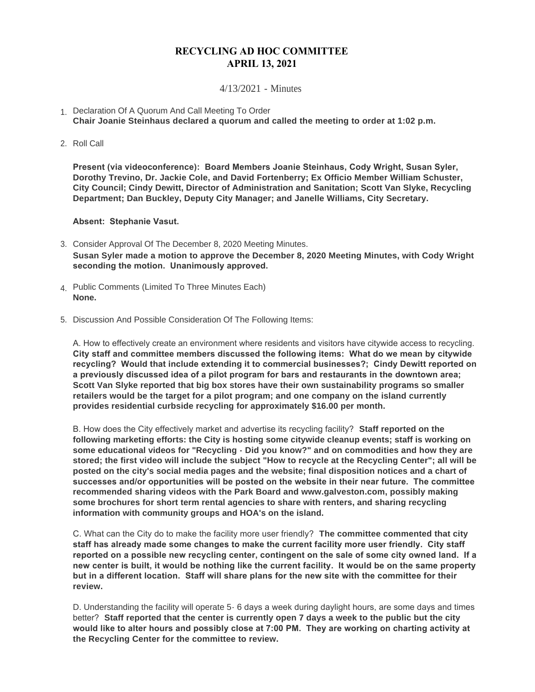## **RECYCLING AD HOC COMMITTEE APRIL 13, 2021**

## 4/13/2021 - Minutes

- 1. Declaration Of A Quorum And Call Meeting To Order **Chair Joanie Steinhaus declared a quorum and called the meeting to order at 1:02 p.m.**
- 2. Roll Call

**Present (via videoconference): Board Members Joanie Steinhaus, Cody Wright, Susan Syler, Dorothy Trevino, Dr. Jackie Cole, and David Fortenberry; Ex Officio Member William Schuster, City Council; Cindy Dewitt, Director of Administration and Sanitation; Scott Van Slyke, Recycling Department; Dan Buckley, Deputy City Manager; and Janelle Williams, City Secretary.**

**Absent: Stephanie Vasut.**

- Consider Approval Of The December 8, 2020 Meeting Minutes. 3. **Susan Syler made a motion to approve the December 8, 2020 Meeting Minutes, with Cody Wright seconding the motion. Unanimously approved.**
- Public Comments (Limited To Three Minutes Each) 4. **None.**
- 5. Discussion And Possible Consideration Of The Following Items:

A. How to effectively create an environment where residents and visitors have citywide access to recycling. **City staff and committee members discussed the following items: What do we mean by citywide recycling? Would that include extending it to commercial businesses?; Cindy Dewitt reported on a previously discussed idea of a pilot program for bars and restaurants in the downtown area; Scott Van Slyke reported that big box stores have their own sustainability programs so smaller retailers would be the target for a pilot program; and one company on the island currently provides residential curbside recycling for approximately \$16.00 per month.**

B. How does the City effectively market and advertise its recycling facility? **Staff reported on the following marketing efforts: the City is hosting some citywide cleanup events; staff is working on some educational videos for "Recycling - Did you know?" and on commodities and how they are stored; the first video will include the subject "How to recycle at the Recycling Center"; all will be posted on the city's social media pages and the website; final disposition notices and a chart of successes and/or opportunities will be posted on the website in their near future. The committee recommended sharing videos with the Park Board and www.galveston.com, possibly making some brochures for short term rental agencies to share with renters, and sharing recycling information with community groups and HOA's on the island.**

C. What can the City do to make the facility more user friendly? **The committee commented that city staff has already made some changes to make the current facility more user friendly. City staff reported on a possible new recycling center, contingent on the sale of some city owned land. If a new center is built, it would be nothing like the current facility. It would be on the same property but in a different location. Staff will share plans for the new site with the committee for their review.**

D. Understanding the facility will operate 5- 6 days a week during daylight hours, are some days and times better? **Staff reported that the center is currently open 7 days a week to the public but the city would like to alter hours and possibly close at 7:00 PM. They are working on charting activity at the Recycling Center for the committee to review.**